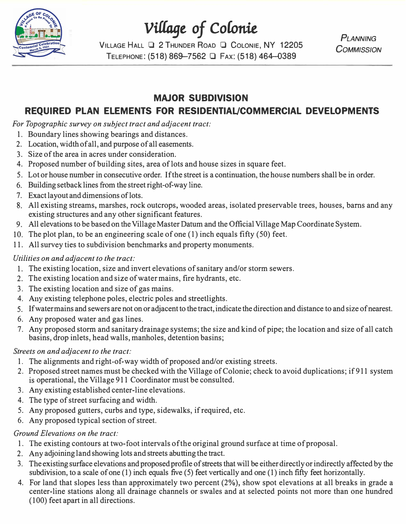

# *Village of Colonie*

**VILLAGE HALL** O 2 **THUNDER ROAD** O **COLONIE,** NY 12205 TELEPHONE: (518) 869-7562 **Q** Fax: (518) 464-0389

**PI ANNING** *COMMISSION* 

## **MAJOR SUBDIVISION**

## **REQUIRED PLAN ELEMENTS FOR RESIDENTIAL/COMMERCIAL DEVELOPMENTS**

*For Topographic survey on subject tract and adjacent tract:* 

- 1. Boundary lines showing bearings and distances.
- 2. Location, width of all, and purpose of all easements.
- 3. Size of the area in acres under consideration.
- 4. Proposed number of building sites, area of lots and house sizes in square feet.
- 5. Lot or house number in consecutive order. If the street is a continuation, the house numbers shall be in order.
- 6. Building setback lines from the street right-of-way line.
- 7. Exact layout and dimensions of lots.
- 8. All existing streams, marshes, rock outcrops, wooded areas, isolated preservable trees, houses, barns and any existing structures and any other significant features.
- 9. All elevations to be based on the Village Master Datum and the Official Village Map Coordinate System.
- 10. The plot plan, to be an engineering scale of one (1) inch equals fifty (50) feet.
- 11. All survey ties to subdivision benchmarks and property monuments.

#### *Utilities on and adjacent to the tract:*

- 1. The existing location, size and invert elevations of sanitary and/or storm sewers.
- 2. The existing location and size of water mains, fire hydrants, etc.
- 3. The existing location and size of gas mains.
- 4. Any existing telephone poles, electric poles and streetlights.
- 5. If water mains and sewers are not on or adjacent to the tract, indicate the direction and distance to and size of nearest.
- 6. Any proposed water and gas lines.
- 7. Any proposed storm and sanitary drainage systems; the size and kind of pipe; the location and size of all catch basins, drop inlets, head walls, manholes, detention basins;

#### *Streets on and adjacent to the tract:*

- 1. The alignments and right-of-way width of proposed and/or existing streets.
- 2. Proposed street names must be checked with the Village of Colonie; check to avoid duplications; if911 system is operational, the Village 911 Coordinator must be consulted.
- 3. Any existing established center-line elevations.
- 4. The type of street surfacing and width.
- 5. Any proposed gutters, curbs and type, sidewalks, if required, etc.
- 6. Any proposed typical section of street.

#### *Ground Elevations on the tract:*

- 1. The existing contours at two-foot intervals of the original ground surface at time of proposal.
- 2. Any adjoining land showing lots and streets abutting the tract.
- 3. The existing surface elevations and proposed profile of streets that will be either directly or indirectly affected by the subdivision, to a scale of one (1) inch equals five (5) feet vertically and one (1) inch fifty feet horizontally.
- 4. For land that slopes less than approximately two percent (2%), show spot elevations at all breaks in grade a center-line stations along all drainage channels or swales and at selected points not more than one hundred ( 100) feet apart in all directions.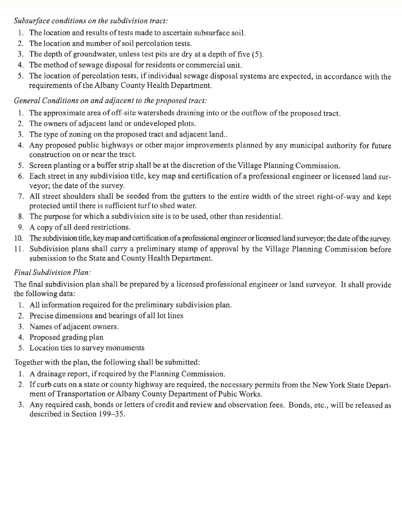Subsurface conditions on the subdivision tract:

- 1. The location and results of tests made to ascertain subsurface soil.
- 2. The location and number of soil percolation tests.
- 3. The depth of groundwater, unless test pits are dry at a depth of five (5).
- 4. The method of sewage disposal for residents or commercial unit.
- 5. The location of percolation tests, if individual sewage disposal systems are expected, in accordance with the requirements of the Albany County Health Department.

#### General Conditions on and adjacent to the proposed tract:

- 1. The approximate area of off-site watersheds draining into or the outflow of the proposed tract.
- 2. The owners of adjacent land or undeveloped plots.
- 3. The type of zoning on the proposed tract and adjacent land..
- 4. Any proposed public highways or other major improvements planned by any municipal authority for future construction on or near the tract.
- 5. Screen planting or a buffer strip shall be at the discretion of the Village Planning Commission.
- 6. Each street in any subdivision title, key map and certification of a professional engineer or licensed land surveyor; the date of the survey.
- 7. All street shoulders shall be seeded from the gutters to the entire width of the street right-of-way and kept protected until there is sufficient turf to shed water.
- 8. The purpose for which a subdivision site is to be used, other than residential.
- 9. A copy of all deed restrictions.
- 10. The subdivision title, key map and certification of a professional engineer or licensed land surveyor; the date of the survey.
- 11. Subdivision plans shall carry a preliminary stamp of approval by the Village Planning Commission before submission to the State and County Health Department.

#### **Final Subdivision Plan:**

The final subdivision plan shall be prepared by a licensed professional engineer or land surveyor. It shall provide the following data:

- 1. All information required for the preliminary subdivision plan.
- 2. Precise dimensions and bearings of all lot lines
- 3. Names of adiacent owners.
- 4. Proposed grading plan
- 5. Location ties to survey monuments

Together with the plan, the following shall be submitted:

- 1. A drainage report, if required by the Planning Commission.
- 2. If curb cuts on a state or county highway are required, the necessary permits from the New York State Department of Transportation or Albany County Department of Pubic Works.
- 3. Any required cash, bonds or letters of credit and review and observation fees. Bonds, etc., will be released as described in Section 199–35.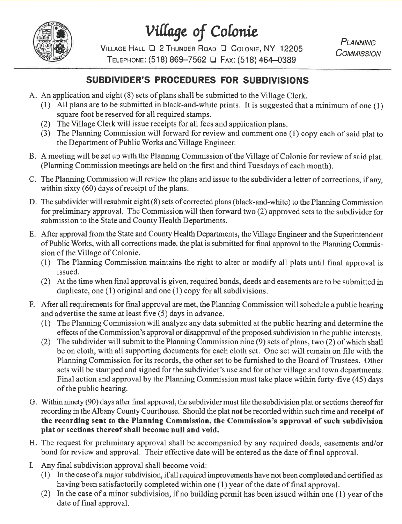

Village of Colonie

VILLAGE HALL Q 2 THUNDER ROAD Q COLONIE, NY 12205 TELEPHONE: (518) 869-7562 <sup>1</sup> Fax: (518) 464-0389

PLANNING **COMMISSION** 

### SUBDIVIDER'S PROCEDURES FOR SUBDIVISIONS

- A. An application and eight (8) sets of plans shall be submitted to the Village Clerk.
	- (1) All plans are to be submitted in black-and-white prints. It is suggested that a minimum of one (1) square foot be reserved for all required stamps.
	- (2) The Village Clerk will issue receipts for all fees and application plans.
	- (3) The Planning Commission will forward for review and comment one  $(1)$  copy each of said plat to the Department of Public Works and Village Engineer.
- B. A meeting will be set up with the Planning Commission of the Village of Colonie for review of said plat. (Planning Commission meetings are held on the first and third Tuesdays of each month).
- C. The Planning Commission will review the plans and issue to the subdivider a letter of corrections, if any, within sixty  $(60)$  days of receipt of the plans.
- D. The subdivider will resubmit eight (8) sets of corrected plans (black-and-white) to the Planning Commission for preliminary approval. The Commission will then forward two  $(2)$  approved sets to the subdivider for submission to the State and County Health Departments.
- E. After approval from the State and County Health Departments, the Village Engineer and the Superintendent of Public Works, with all corrections made, the plat is submitted for final approval to the Planning Commission of the Village of Colonie.
	- (1) The Planning Commission maintains the right to alter or modify all plats until final approval is issued.
	- (2) At the time when final approval is given, required bonds, deeds and easements are to be submitted in duplicate, one  $(1)$  original and one  $(1)$  copy for all subdivisions.
- F. After all requirements for final approval are met, the Planning Commission will schedule a public hearing and advertise the same at least five (5) days in advance.
	- (1) The Planning Commission will analyze any data submitted at the public hearing and determine the effects of the Commission's approval or disapproval of the proposed subdivision in the public interests.
	- The subdivider will submit to the Planning Commission nine (9) sets of plans, two (2) of which shall  $(2)$ be on cloth, with all supporting documents for each cloth set. One set will remain on file with the Planning Commission for its records, the other set to be furnished to the Board of Trustees. Other sets will be stamped and signed for the subdivider's use and for other village and town departments. Final action and approval by the Planning Commission must take place within forty-five (45) days of the public hearing.
- G. Within ninety (90) days after final approval, the subdivider must file the subdivision plat or sections thereof for recording in the Albany County Courthouse. Should the plat not be recorded within such time and receipt of the recording sent to the Planning Commission, the Commission's approval of such subdivision plat or sections thereof shall become null and void.
- H. The request for preliminary approval shall be accompanied by any required deeds, easements and/or bond for review and approval. Their effective date will be entered as the date of final approval.
- I. Any final subdivision approval shall become void:
	- (1) In the case of a major subdivision, if all required improvements have not been completed and certified as having been satisfactorily completed within one (1) year of the date of final approval.
	- (2) In the case of a minor subdivision, if no building permit has been issued within one (1) year of the date of final approval.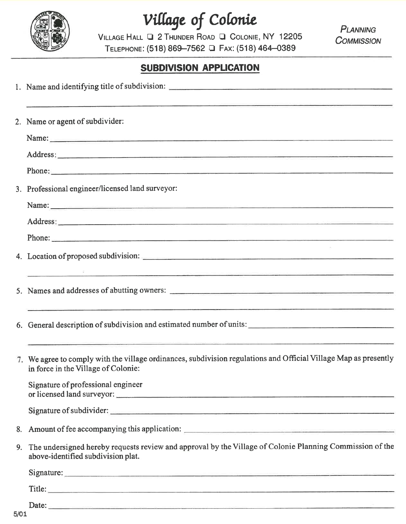

Village of Colonie

VILLAGE HALL Q 2 THUNDER ROAD Q COLONIE, NY 12205 TELEPHONE: (518) 869-7562 Q FAX: (518) 464-0389

**PLANNING COMMISSION** 

#### **SUBDIVISION APPLICATION**

|    | <u> 1989 - John Stone Stone Stone Stone Stone Stone Stone Stone Stone Stone Stone Stone Stone Stone Stone Stone Stone Stone Stone Stone Stone Stone Stone Stone Stone Stone Stone Stone Stone Stone Stone Stone Stone Stone Ston</u><br>2. Name or agent of subdivider:        |
|----|--------------------------------------------------------------------------------------------------------------------------------------------------------------------------------------------------------------------------------------------------------------------------------|
|    | Name: Name: 2008. Contract to the contract of the contract of the contract of the contract of the contract of the contract of the contract of the contract of the contract of the contract of the contract of the contract of                                                  |
|    |                                                                                                                                                                                                                                                                                |
|    |                                                                                                                                                                                                                                                                                |
|    | 3. Professional engineer/licensed land surveyor:                                                                                                                                                                                                                               |
|    | Name: Name:                                                                                                                                                                                                                                                                    |
|    |                                                                                                                                                                                                                                                                                |
|    | Phone:                                                                                                                                                                                                                                                                         |
|    |                                                                                                                                                                                                                                                                                |
|    | <u> 1980 - Andrea Andrea Andrea Andrea Andrea Andrea Andrea Andrea Andrea Andrea Andrea Andrea Andrea Andrea Andr</u>                                                                                                                                                          |
|    | 6. General description of subdivision and estimated number of units:                                                                                                                                                                                                           |
|    | subject to the control of the control of the control of the control of the control of the control of the control of<br>7. We agree to comply with the village ordinances, subdivision regulations and Official Village Map as presently<br>in force in the Village of Colonie: |
|    | Signature of professional engineer                                                                                                                                                                                                                                             |
|    | Signature of subdivider:                                                                                                                                                                                                                                                       |
| 8. |                                                                                                                                                                                                                                                                                |
| 9. | The undersigned hereby requests review and approval by the Village of Colonie Planning Commission of the<br>above-identified subdivision plat.                                                                                                                                 |
|    | Signature: <u>Commission Commission Commission Commission Commission Commission Commission Commission Commission</u>                                                                                                                                                           |
|    |                                                                                                                                                                                                                                                                                |
|    | Date:                                                                                                                                                                                                                                                                          |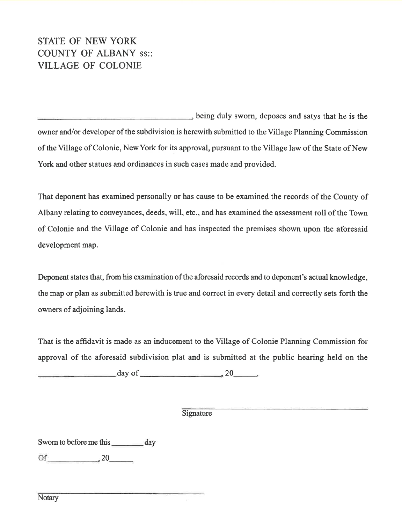## **STATE OF NEW YORK COUNTY OF ALBANY SS.: VILLAGE OF COLONIE**

being duly sworn, deposes and satys that he is the owner and/or developer of the subdivision is herewith submitted to the Village Planning Commission of the Village of Colonie, New York for its approval, pursuant to the Village law of the State of New York and other statues and ordinances in such cases made and provided.

That deponent has examined personally or has cause to be examined the records of the County of Albany relating to conveyances, deeds, will, etc., and has examined the assessment roll of the Town of Colonie and the Village of Colonie and has inspected the premises shown upon the aforesaid development map.

Deponent states that, from his examination of the aforesaid records and to deponent's actual knowledge, the map or plan as submitted herewith is true and correct in every detail and correctly sets forth the owners of adjoining lands.

That is the affidavit is made as an inducement to the Village of Colonie Planning Commission for approval of the aforesaid subdivision plat and is submitted at the public hearing held on the

 $day of$ , 20

Signature

Sworn to before me this day

 $Of$  20

Notary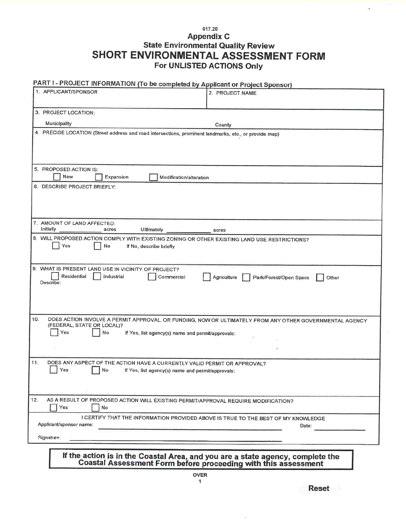#### 617.20 **Appendix C State Environmental Quality Review** SHORT ENVIRONMENTAL ASSESSMENT FORM For UNLISTED ACTIONS Only

## PART I - PROJECT INFORMATION (To be completed by Applicant or Project Sponsor)

| 1. APPLICANT/SPONSOR                                                                                                                             | 2. PROJECT NAME                                                                            |  |  |
|--------------------------------------------------------------------------------------------------------------------------------------------------|--------------------------------------------------------------------------------------------|--|--|
| 3. PROJECT LOCATION:                                                                                                                             |                                                                                            |  |  |
| Municipality                                                                                                                                     | County                                                                                     |  |  |
| 4. PRECISE LOCATION (Street address and road intersections, prominent landmarks, etc., or provide map)                                           |                                                                                            |  |  |
|                                                                                                                                                  |                                                                                            |  |  |
|                                                                                                                                                  |                                                                                            |  |  |
| 5. PROPOSED ACTION IS:<br>New<br>Expansion<br>Modification/alteration                                                                            |                                                                                            |  |  |
| 6. DESCRIBE PROJECT BRIEFLY:                                                                                                                     |                                                                                            |  |  |
|                                                                                                                                                  |                                                                                            |  |  |
|                                                                                                                                                  |                                                                                            |  |  |
| 7. AMOUNT OF LAND AFFECTED:<br>Initially<br>Ultimately<br>acres<br>acres                                                                         |                                                                                            |  |  |
| 8. WILL PROPOSED ACTION COMPLY WITH EXISTING ZONING OR OTHER EXISTING LAND USE RESTRICTIONS?                                                     |                                                                                            |  |  |
| Yes<br>No<br>If No, describe briefly                                                                                                             |                                                                                            |  |  |
|                                                                                                                                                  |                                                                                            |  |  |
| 9. WHAT IS PRESENT LAND USE IN VICINITY OF PROJECT?<br>Residential<br>Industrial<br>Commercial<br>Park/Forest/Open Space<br>Agriculture<br>Other |                                                                                            |  |  |
| Describe:                                                                                                                                        |                                                                                            |  |  |
|                                                                                                                                                  |                                                                                            |  |  |
|                                                                                                                                                  |                                                                                            |  |  |
| 10.<br>DOES ACTION INVOLVE A PERMIT APPROVAL, OR FUNDING, NOW OR ULTIMATELY FROM ANY OTHER GOVERNMENTAL AGENCY                                   |                                                                                            |  |  |
| (FEDERAL, STATE OR LOCAL)?<br>Yes<br>No<br>If Yes, list agency(s) name and permit/approvals:                                                     |                                                                                            |  |  |
|                                                                                                                                                  |                                                                                            |  |  |
|                                                                                                                                                  |                                                                                            |  |  |
| 11.5<br>DOES ANY ASPECT OF THE ACTION HAVE A CURRENTLY VALID PERMIT OR APPROVAL?                                                                 |                                                                                            |  |  |
| Yes<br>No<br>If Yes, list agency(s) name and permit/approvals:                                                                                   |                                                                                            |  |  |
|                                                                                                                                                  |                                                                                            |  |  |
| 12.<br>AS A RESULT OF PROPOSED ACTION WILL EXISTING PERMIT/APPROVAL REQUIRE MODIFICATION?                                                        |                                                                                            |  |  |
| Yes<br>No                                                                                                                                        |                                                                                            |  |  |
| Applicant/sponsor name:                                                                                                                          | I CERTIFY THAT THE INFORMATION PROVIDED ABOVE IS TRUE TO THE BEST OF MY KNOWLEDGE<br>Date: |  |  |
| Signature:                                                                                                                                       |                                                                                            |  |  |
|                                                                                                                                                  |                                                                                            |  |  |
| If the action is in the Coastal Area, and you are a state agency, complete the Coastal Assessment Form before proceeding with this assessment    |                                                                                            |  |  |